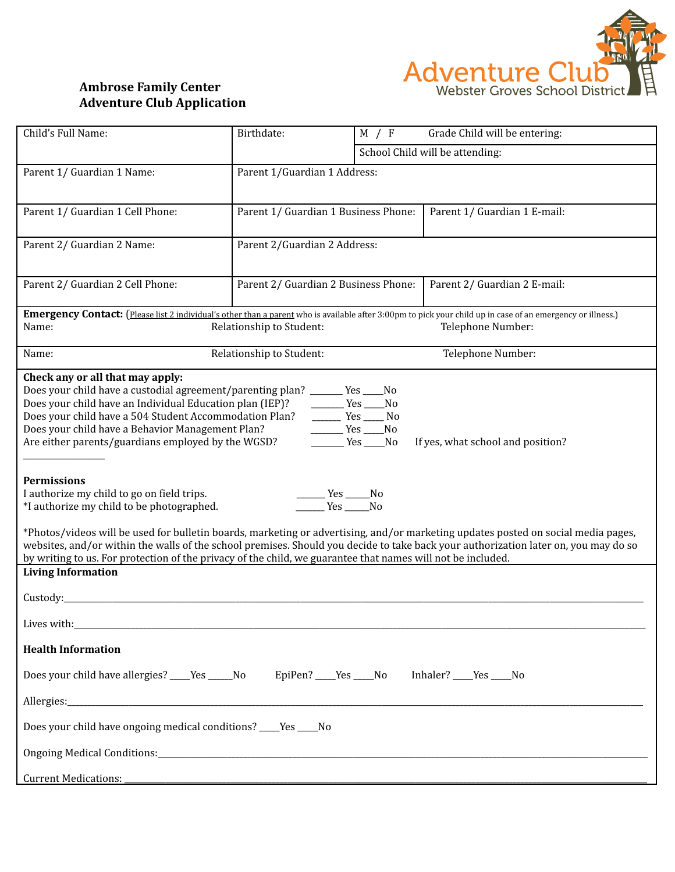

## **Ambrose Family Center Adventure Club Application**

| Child's Full Name:                                                                                                                                                                                                                                                                                                                                                                                                                                                                                                                                                                                                                                                                                                                                                                                                                                                                        | Birthdate:                                    | M / F | Grade Child will be entering:   |  |
|-------------------------------------------------------------------------------------------------------------------------------------------------------------------------------------------------------------------------------------------------------------------------------------------------------------------------------------------------------------------------------------------------------------------------------------------------------------------------------------------------------------------------------------------------------------------------------------------------------------------------------------------------------------------------------------------------------------------------------------------------------------------------------------------------------------------------------------------------------------------------------------------|-----------------------------------------------|-------|---------------------------------|--|
|                                                                                                                                                                                                                                                                                                                                                                                                                                                                                                                                                                                                                                                                                                                                                                                                                                                                                           |                                               |       | School Child will be attending: |  |
| Parent 1/ Guardian 1 Name:                                                                                                                                                                                                                                                                                                                                                                                                                                                                                                                                                                                                                                                                                                                                                                                                                                                                | Parent 1/Guardian 1 Address:                  |       |                                 |  |
| Parent 1/ Guardian 1 Cell Phone:                                                                                                                                                                                                                                                                                                                                                                                                                                                                                                                                                                                                                                                                                                                                                                                                                                                          | Parent 1/ Guardian 1 Business Phone:          |       | Parent 1/ Guardian 1 E-mail:    |  |
| Parent 2/ Guardian 2 Name:                                                                                                                                                                                                                                                                                                                                                                                                                                                                                                                                                                                                                                                                                                                                                                                                                                                                | Parent 2/Guardian 2 Address:                  |       |                                 |  |
| Parent 2/ Guardian 2 Cell Phone:                                                                                                                                                                                                                                                                                                                                                                                                                                                                                                                                                                                                                                                                                                                                                                                                                                                          | Parent 2/ Guardian 2 Business Phone:          |       | Parent 2/ Guardian 2 E-mail:    |  |
| <b>Emergency Contact:</b> (Please list 2 individual's other than a parent who is available after 3:00pm to pick your child up in case of an emergency or illness.)                                                                                                                                                                                                                                                                                                                                                                                                                                                                                                                                                                                                                                                                                                                        |                                               |       |                                 |  |
| Name:<br>Relationship to Student:<br>Telephone Number:                                                                                                                                                                                                                                                                                                                                                                                                                                                                                                                                                                                                                                                                                                                                                                                                                                    |                                               |       |                                 |  |
| Name:                                                                                                                                                                                                                                                                                                                                                                                                                                                                                                                                                                                                                                                                                                                                                                                                                                                                                     | Telephone Number:<br>Relationship to Student: |       |                                 |  |
| Check any or all that may apply:<br>Does your child have a custodial agreement/parenting plan? ______ Yes ____No<br>Does your child have an Individual Education plan (IEP)?<br>$Yes$ Mo<br>Does your child have a 504 Student Accommodation Plan?<br>$T = Yes$ No<br>Does your child have a Behavior Management Plan?<br>$Yes$ No<br>Are either parents/guardians employed by the WGSD?<br>No Ves No<br>If yes, what school and position?<br><b>Permissions</b><br>I authorize my child to go on field trips.<br>$\frac{1}{1}$ Yes $\frac{1}{1}$ No<br>$Yes$ No<br>*I authorize my child to be photographed.<br>*Photos/videos will be used for bulletin boards, marketing or advertising, and/or marketing updates posted on social media pages,<br>websites, and/or within the walls of the school premises. Should you decide to take back your authorization later on, you may do so |                                               |       |                                 |  |
| by writing to us. For protection of the privacy of the child, we guarantee that names will not be included.<br><b>Living Information</b>                                                                                                                                                                                                                                                                                                                                                                                                                                                                                                                                                                                                                                                                                                                                                  |                                               |       |                                 |  |
| Custody:                                                                                                                                                                                                                                                                                                                                                                                                                                                                                                                                                                                                                                                                                                                                                                                                                                                                                  |                                               |       |                                 |  |
| Lives with:                                                                                                                                                                                                                                                                                                                                                                                                                                                                                                                                                                                                                                                                                                                                                                                                                                                                               |                                               |       |                                 |  |
| <b>Health Information</b>                                                                                                                                                                                                                                                                                                                                                                                                                                                                                                                                                                                                                                                                                                                                                                                                                                                                 |                                               |       |                                 |  |
| Does your child have allergies? For No EpiPen? No Yes No Inhaler? No Yes No                                                                                                                                                                                                                                                                                                                                                                                                                                                                                                                                                                                                                                                                                                                                                                                                               |                                               |       |                                 |  |
|                                                                                                                                                                                                                                                                                                                                                                                                                                                                                                                                                                                                                                                                                                                                                                                                                                                                                           |                                               |       |                                 |  |
| Does your child have ongoing medical conditions? ____Yes ____No                                                                                                                                                                                                                                                                                                                                                                                                                                                                                                                                                                                                                                                                                                                                                                                                                           |                                               |       |                                 |  |
| Ongoing Medical Conditions: Constantinople of the Conditional Conditions of the Conditions of the Conditions of the Conditions of the Conditions of the Conditions of the Conditions of the Conditions of the Conditions of th                                                                                                                                                                                                                                                                                                                                                                                                                                                                                                                                                                                                                                                            |                                               |       |                                 |  |
| <b>Current Medications:</b>                                                                                                                                                                                                                                                                                                                                                                                                                                                                                                                                                                                                                                                                                                                                                                                                                                                               |                                               |       |                                 |  |